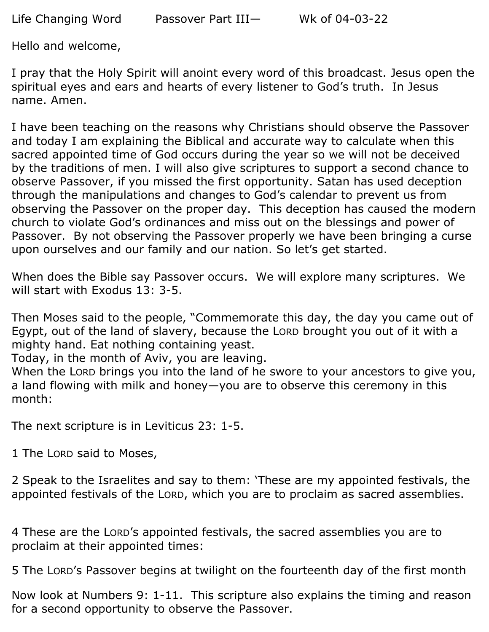Hello and welcome,

I pray that the Holy Spirit will anoint every word of this broadcast. Jesus open the spiritual eyes and ears and hearts of every listener to God's truth. In Jesus name. Amen.

I have been teaching on the reasons why Christians should observe the Passover and today I am explaining the Biblical and accurate way to calculate when this sacred appointed time of God occurs during the year so we will not be deceived by the traditions of men. I will also give scriptures to support a second chance to observe Passover, if you missed the first opportunity. Satan has used deception through the manipulations and changes to God's calendar to prevent us from observing the Passover on the proper day. This deception has caused the modern church to violate God's ordinances and miss out on the blessings and power of Passover. By not observing the Passover properly we have been bringing a curse upon ourselves and our family and our nation. So let's get started.

When does the Bible say Passover occurs. We will explore many scriptures. We will start with Exodus 13: 3-5.

Then Moses said to the people, "Commemorate this day, the day you came out of Egypt, out of the land of slavery, because the LORD brought you out of it with a mighty hand. Eat nothing containing yeast.

Today, in the month of Aviv, you are leaving.

When the LORD brings you into the land of he swore to your ancestors to give you, a land flowing with milk and honey—you are to observe this ceremony in this month:

The next scripture is in Leviticus 23: 1-5.

1 The LORD said to Moses,

2 Speak to the Israelites and say to them: 'These are my appointed festivals, the appointed festivals of the LORD, which you are to proclaim as sacred assemblies.

4 These are the LORD's appointed festivals, the sacred assemblies you are to proclaim at their appointed times:

5 The LORD's Passover begins at twilight on the fourteenth day of the first month

Now look at Numbers 9: 1-11. This scripture also explains the timing and reason for a second opportunity to observe the Passover.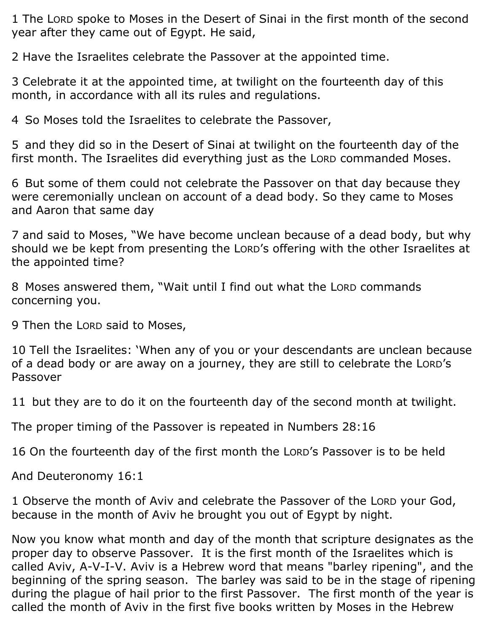1 The LORD spoke to Moses in the Desert of Sinai in the first month of the second year after they came out of Egypt. He said,

2 Have the Israelites celebrate the Passover at the appointed time.

3 Celebrate it at the appointed time, at twilight on the fourteenth day of this month, in accordance with all its rules and regulations.

4 So Moses told the Israelites to celebrate the Passover,

5 and they did so in the Desert of Sinai at twilight on the fourteenth day of the first month. The Israelites did everything just as the LORD commanded Moses.

6 But some of them could not celebrate the Passover on that day because they were ceremonially unclean on account of a dead body. So they came to Moses and Aaron that same day

7 and said to Moses, "We have become unclean because of a dead body, but why should we be kept from presenting the LORD's offering with the other Israelites at the appointed time?

8 Moses answered them, "Wait until I find out what the LORD commands concerning you.

9 Then the LORD said to Moses,

10 Tell the Israelites: 'When any of you or your descendants are unclean because of a dead body or are away on a journey, they are still to celebrate the LORD's Passover

11 but they are to do it on the fourteenth day of the second month at twilight.

The proper timing of the Passover is repeated in Numbers 28:16

16 On the fourteenth day of the first month the LORD's Passover is to be held

And Deuteronomy 16:1

1 Observe the month of Aviv and celebrate the Passover of the LORD your God, because in the month of Aviv he brought you out of Egypt by night.

Now you know what month and day of the month that scripture designates as the proper day to observe Passover. It is the first month of the Israelites which is called Aviv, A-V-I-V. Aviv is a Hebrew word that means "barley ripening", and the beginning of the spring season. The barley was said to be in the stage of ripening during the plague of hail prior to the first Passover. The first month of the year is called the month of Aviv in the first five books written by Moses in the Hebrew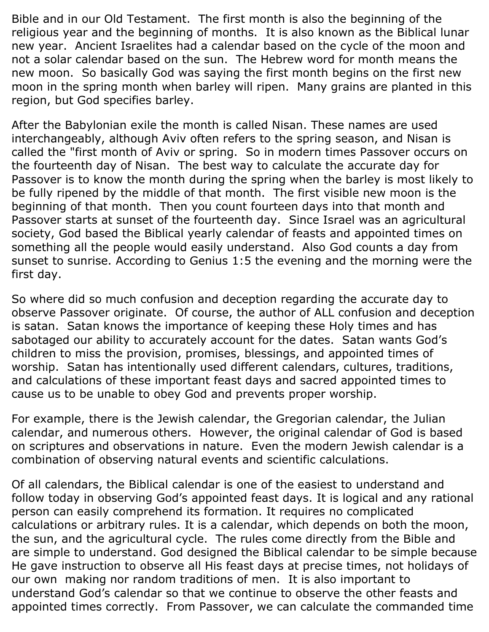Bible and in our Old Testament. The first month is also the beginning of the religious year and the beginning of months. It is also known as the Biblical lunar new year. Ancient Israelites had a calendar based on the cycle of the moon and not a solar calendar based on the sun. The Hebrew word for month means the new moon. So basically God was saying the first month begins on the first new moon in the spring month when barley will ripen. Many grains are planted in this region, but God specifies barley.

After the Babylonian exile the month is called Nisan. These names are used interchangeably, although Aviv often refers to the spring season, and Nisan is called the "first month of Aviv or spring. So in modern times Passover occurs on the fourteenth day of Nisan. The best way to calculate the accurate day for Passover is to know the month during the spring when the barley is most likely to be fully ripened by the middle of that month. The first visible new moon is the beginning of that month. Then you count fourteen days into that month and Passover starts at sunset of the fourteenth day. Since Israel was an agricultural society, God based the Biblical yearly calendar of feasts and appointed times on something all the people would easily understand. Also God counts a day from sunset to sunrise. According to Genius 1:5 the evening and the morning were the first day.

So where did so much confusion and deception regarding the accurate day to observe Passover originate. Of course, the author of ALL confusion and deception is satan. Satan knows the importance of keeping these Holy times and has sabotaged our ability to accurately account for the dates. Satan wants God's children to miss the provision, promises, blessings, and appointed times of worship. Satan has intentionally used different calendars, cultures, traditions, and calculations of these important feast days and sacred appointed times to cause us to be unable to obey God and prevents proper worship.

For example, there is the Jewish calendar, the Gregorian calendar, the Julian calendar, and numerous others. However, the original calendar of God is based on scriptures and observations in nature. Even the modern Jewish calendar is a combination of observing natural events and scientific calculations.

Of all calendars, the Biblical calendar is one of the easiest to understand and follow today in observing God's appointed feast days. It is logical and any rational person can easily comprehend its formation. It requires no complicated calculations or arbitrary rules. It is a calendar, which depends on both the moon, the sun, and the agricultural cycle. The rules come directly from the Bible and are simple to understand. God designed the Biblical calendar to be simple because He gave instruction to observe all His feast days at precise times, not holidays of our own making nor random traditions of men. It is also important to understand God's calendar so that we continue to observe the other feasts and appointed times correctly. From Passover, we can calculate the commanded time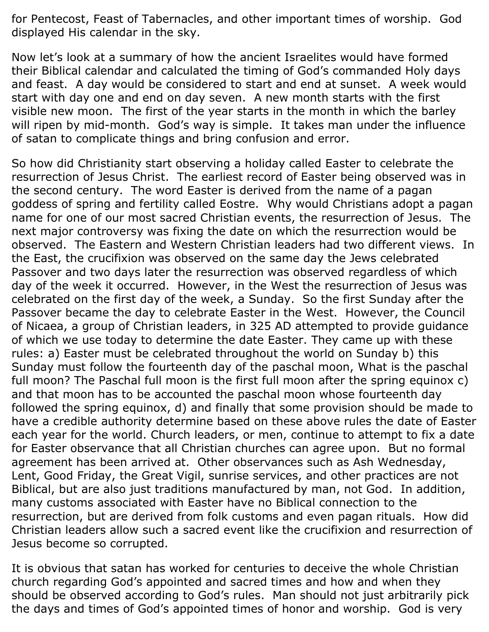for Pentecost, Feast of Tabernacles, and other important times of worship. God displayed His calendar in the sky.

Now let's look at a summary of how the ancient Israelites would have formed their Biblical calendar and calculated the timing of God's commanded Holy days and feast. A day would be considered to start and end at sunset. A week would start with day one and end on day seven. A new month starts with the first visible new moon. The first of the year starts in the month in which the barley will ripen by mid-month. God's way is simple. It takes man under the influence of satan to complicate things and bring confusion and error.

So how did Christianity start observing a holiday called Easter to celebrate the resurrection of Jesus Christ. The earliest record of Easter being observed was in the second century. The word Easter is derived from the name of a pagan goddess of spring and fertility called Eostre. Why would Christians adopt a pagan name for one of our most sacred Christian events, the resurrection of Jesus. The next major controversy was fixing the date on which the resurrection would be observed. The Eastern and Western Christian leaders had two different views. In the East, the crucifixion was observed on the same day the Jews celebrated Passover and two days later the resurrection was observed regardless of which day of the week it occurred. However, in the West the resurrection of Jesus was celebrated on the first day of the week, a Sunday. So the first Sunday after the Passover became the day to celebrate Easter in the West. However, the Council of Nicaea, a group of Christian leaders, in 325 AD attempted to provide guidance of which we use today to determine the date Easter. They came up with these rules: a) Easter must be celebrated throughout the world on Sunday b) this Sunday must follow the fourteenth day of the paschal moon, What is the paschal full moon? The Paschal full moon is the first full moon after the spring equinox c) and that moon has to be accounted the paschal moon whose fourteenth day followed the spring equinox, d) and finally that some provision should be made to have a credible authority determine based on these above rules the date of Easter each year for the world. Church leaders, or men, continue to attempt to fix a date for Easter observance that all Christian churches can agree upon. But no formal agreement has been arrived at. Other observances such as Ash Wednesday, Lent, Good Friday, the Great Vigil, sunrise services, and other practices are not Biblical, but are also just traditions manufactured by man, not God. In addition, many customs associated with Easter have no Biblical connection to the resurrection, but are derived from folk customs and even pagan rituals. How did Christian leaders allow such a sacred event like the crucifixion and resurrection of Jesus become so corrupted.

It is obvious that satan has worked for centuries to deceive the whole Christian church regarding God's appointed and sacred times and how and when they should be observed according to God's rules. Man should not just arbitrarily pick the days and times of God's appointed times of honor and worship. God is very